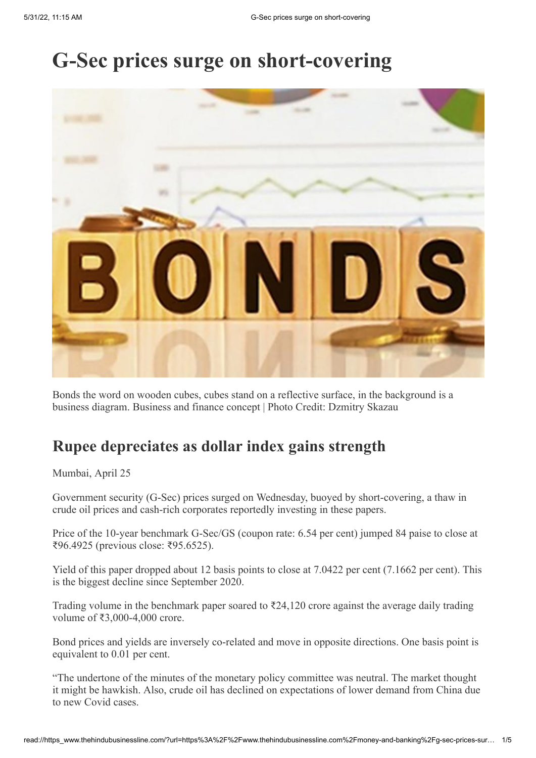# **G-Sec prices surge on short-covering**



Bonds the word on wooden cubes, cubes stand on a reflective surface, in the background is a business diagram. Business and finance concept | Photo Credit: Dzmitry Skazau

### **Rupee depreciates as dollar index gains strength**

Mumbai, April 25

Government security (G-Sec) prices surged on Wednesday, buoyed by short-covering, a thaw in crude oil prices and cash-rich corporates reportedly investing in these papers.

Price of the 10-year benchmark G-Sec/GS (coupon rate: 6.54 per cent) jumped 84 paise to close at ₹96.4925 (previous close: ₹95.6525).

Yield of this paper dropped about 12 basis points to close at 7.0422 per cent (7.1662 per cent). This is the biggest decline since September 2020.

Trading volume in the benchmark paper soared to  $\bar{\tau}$ 24,120 crore against the average daily trading volume of ₹3,000-4,000 crore.

Bond prices and yields are inversely co-related and move in opposite directions. One basis point is equivalent to 0.01 per cent.

"The undertone of the minutes of the monetary policy committee was neutral. The market thought it might be hawkish. Also, crude oil has declined on expectations of lower demand from China due to new Covid cases.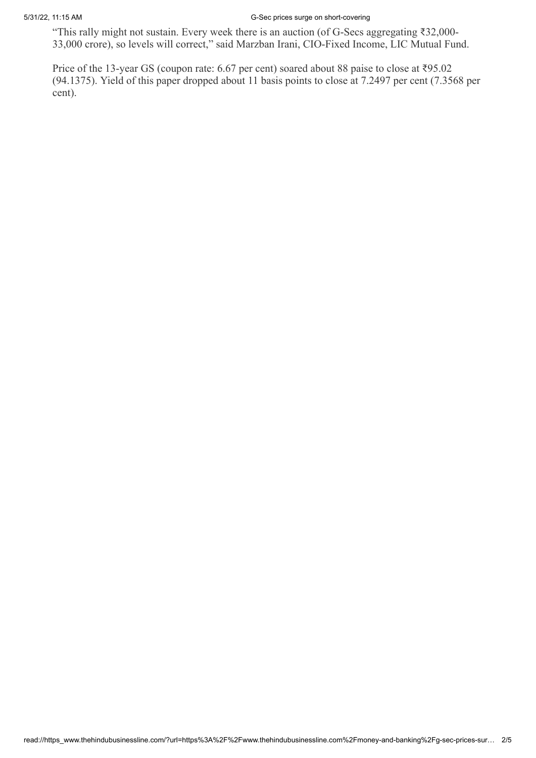#### 5/31/22, 11:15 AM G-Sec prices surge on short-covering

"This rally might not sustain. Every week there is an auction (of G-Secs aggregating ₹32,000- 33,000 crore), so levels will correct," said Marzban Irani, CIO-Fixed Income, LIC Mutual Fund.

Price of the 13-year GS (coupon rate: 6.67 per cent) soared about 88 paise to close at ₹95.02 (94.1375). Yield of this paper dropped about 11 basis points to close at 7.2497 per cent (7.3568 per cent).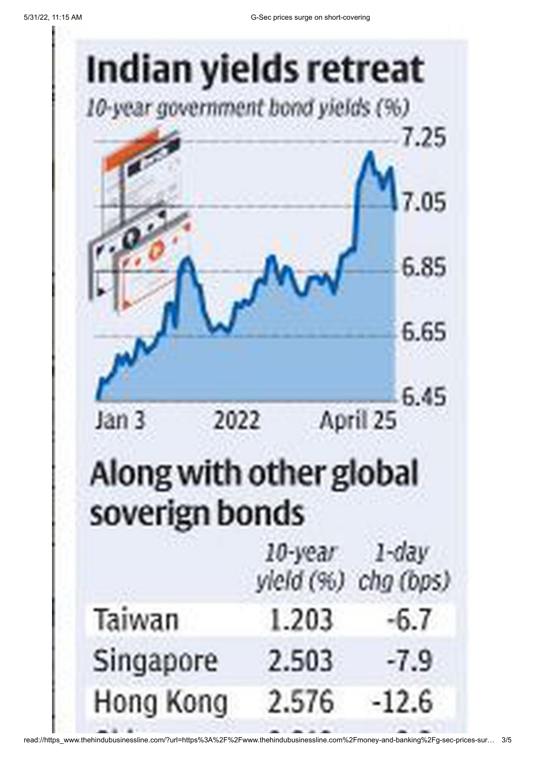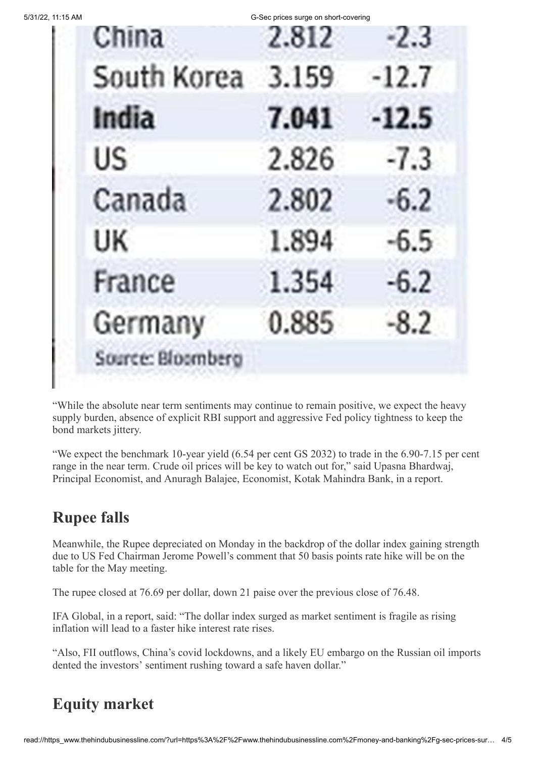| 5/31/22, 11:15 AM |  |
|-------------------|--|
|                   |  |

G-Sec prices surge on short-covering

|  | China             | 2.812 | $-2.3$  |
|--|-------------------|-------|---------|
|  | South Korea       | 3.159 | $-12.7$ |
|  | India             | 7.041 | $-12.5$ |
|  | US.               | 2.826 | $-7.3$  |
|  | Canada            | 2.802 | $-6.2$  |
|  | UK                | 1.894 | $-6.5$  |
|  | France            | 1.354 | $-6.2$  |
|  | Germany           | 0.885 | $-8.2$  |
|  | Source: Bloomberg |       |         |
|  |                   |       |         |

"While the absolute near term sentiments may continue to remain positive, we expect the heavy supply burden, absence of explicit RBI support and aggressive Fed policy tightness to keep the bond markets jittery.

"We expect the benchmark 10-year yield (6.54 per cent GS 2032) to trade in the 6.90-7.15 per cent range in the near term. Crude oil prices will be key to watch out for," said Upasna Bhardwaj, Principal Economist, and Anuragh Balajee, Economist, Kotak Mahindra Bank, in a report.

#### **Rupee falls**

Meanwhile, the Rupee depreciated on Monday in the backdrop of the dollar index gaining strength due to US Fed Chairman Jerome Powell's comment that 50 basis points rate hike will be on the table for the May meeting.

The rupee closed at 76.69 per dollar, down 21 paise over the previous close of 76.48.

IFA Global, in a report, said: "The dollar index surged as market sentiment is fragile as rising inflation will lead to a faster hike interest rate rises.

"Also, FII outflows, China's covid lockdowns, and a likely EU embargo on the Russian oil imports dented the investors' sentiment rushing toward a safe haven dollar."

## **Equity market**